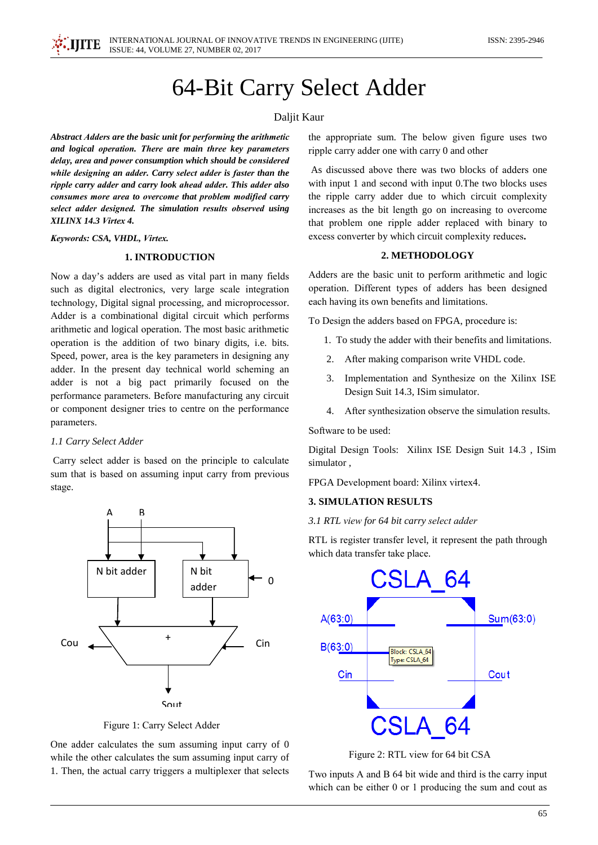# 64-Bit Carry Select Adder

## Daljit Kaur

Abstract Adders are the basic unit for performing the arithmetic and logical operation. There are main three key parameters delay, area and power consumption which should be considered while designing an adder. Carry select adder is faster than the ripple carry adder and carry look ahead adder. This adder also consumes more area to overcome that problem modified carry select adder designed. The simulation results observed using XILINX 14.3 Virtex 4.

#### Keywords: CSA, VHDL, Virtex.

# 1. INTRODUCTION

Now a day's adders are used as vital part in many fields such as digital electronics, very large scale integration technology, Digital signal processing, and microprocessor. Adder is a combinational digital circuit which performs arithmetic and logical operation. The most basic arithmetic operation is the addition of two binary digits, i.e. bits. Speed, power, area is the key parameters in designing any adder. In the present day technical world scheming an adder is not a big pact primarily focused on the performance parameters. Before manufacturing any circuit or component designer tries to centre on the performance parameters.

## 1.1 Carry Select Adder

Carry select adder is based on the principle to calculate sum that is based on assuming input carry from previous stage.



Figure 1: Carry Select Adder

One adder calculates the sum assuming input carry of 0 while the other calculates the sum assuming input carry of 1. Then, the actual carry triggers a multiplexer that selects

the appropriate sum. The below given figure uses two ripple carry adder one with carry 0 and other

As discussed above there was two blocks of adders one with input 1 and second with input 0. The two blocks uses the ripple carry adder due to which circuit complexity increases as the bit length go on increasing to overcome that problem one ripple adder replaced with binary to excess converter by which circuit complexity reduces.

## 2. METHODOLOGY

Adders are the basic unit to perform arithmetic and logic operation. Different types of adders has been designed each having its own benefits and limitations.

To Design the adders based on FPGA, procedure is:

- 1. To study the adder with their benefits and limitations.
- 2. After making comparison write VHDL code.
- 3. Implementation and Synthesize on the Xilinx ISE Design Suit 14.3, ISim simulator.
- 4. After synthesization observe the simulation results.

Software to be used:

Digital Design Tools: Xilinx ISE Design Suit 14.3, ISim simulator,

FPGA Development board: Xilinx virtex4.

## **3. SIMULATION RESULTS**

3.1 RTL view for 64 bit carry select adder

RTL is register transfer level, it represent the path through which data transfer take place.



Figure 2: RTL view for 64 bit CSA

Two inputs A and B 64 bit wide and third is the carry input which can be either  $0$  or  $1$  producing the sum and cout as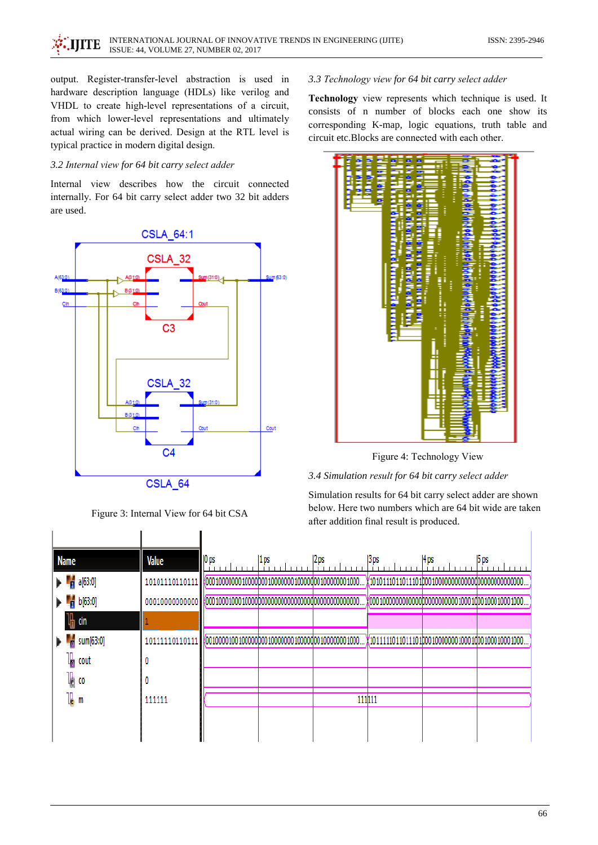output. Register-transfer-level abstraction is used in hardware description language (HDLs) like verilog and VHDL to create high-level representations of a circuit, from which lower-level representations and ultimately actual wiring can be derived. Design at the RTL level is typical practice in modern digital design.

## 3.2 Internal view for 64 bit carry select adder

Internal view describes how the circuit connected internally. For 64 bit carry select adder two 32 bit adders are used.



Figure 3: Internal View for 64 bit CSA

I

#### 3.3 Technology view for 64 bit carry select adder

Technology view represents which technique is used. It consists of n number of blocks each one show its corresponding K-map, logic equations, truth table and circuit etc.Blocks are connected with each other.



Figure 4: Technology View

#### 3.4 Simulation result for 64 bit carry select adder

Simulation results for 64 bit carry select adder are shown below. Here two numbers which are 64 bit wide are taken after addition final result is produced.

| Name                  | Value          | $ 0 $ ps | 1 ps | 2 ps   | 3 ps | 4 ps | <b>5</b> ps |
|-----------------------|----------------|----------|------|--------|------|------|-------------|
| $\frac{1}{2}$ a[63:0] | 10101110110111 |          |      |        |      |      |             |
| b[63:0]<br>h          | 00010000000000 |          |      |        |      |      |             |
| l∰ cin                |                |          |      |        |      |      |             |
| sum[63:0]<br>ł,       | 10111110110111 |          |      |        |      |      |             |
| I,<br>cout            |                |          |      |        |      |      |             |
| l∥ co                 |                |          |      |        |      |      |             |
| l <mark>l</mark> m    | 111111         |          |      | 111111 |      |      |             |
|                       |                |          |      |        |      |      |             |
|                       |                |          |      |        |      |      |             |

I